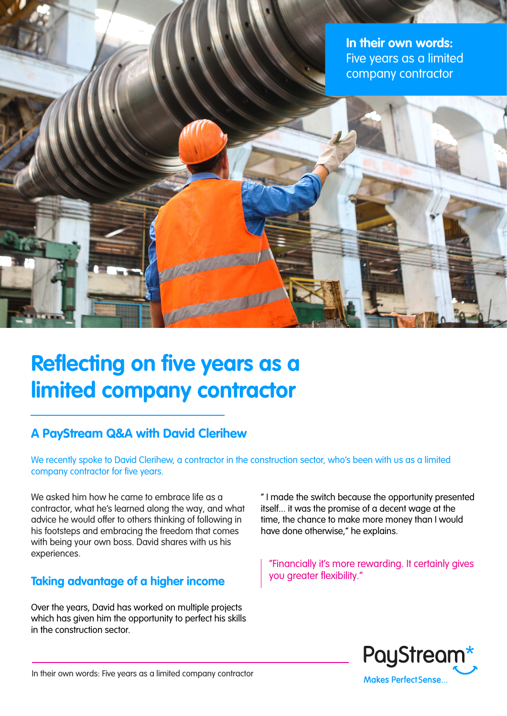**In their own words:** Five years as a limited company contractor

# **Reflecting on five years as a limited company contractor**

## **A PayStream Q&A with David Clerihew**

We recently spoke to David Clerihew, a contractor in the construction sector, who's been with us as a limited company contractor for five years.

We asked him how he came to embrace life as a contractor, what he's learned along the way, and what advice he would offer to others thinking of following in his footsteps and embracing the freedom that comes with being your own boss. David shares with us his experiences.

#### **Taking advantage of a higher income**

Over the years, David has worked on multiple projects which has given him the opportunity to perfect his skills in the construction sector.

" I made the switch because the opportunity presented itself... it was the promise of a decent wage at the time, the chance to make more money than I would have done otherwise," he explains.

"Financially it's more rewarding. It certainly gives you greater flexibility."